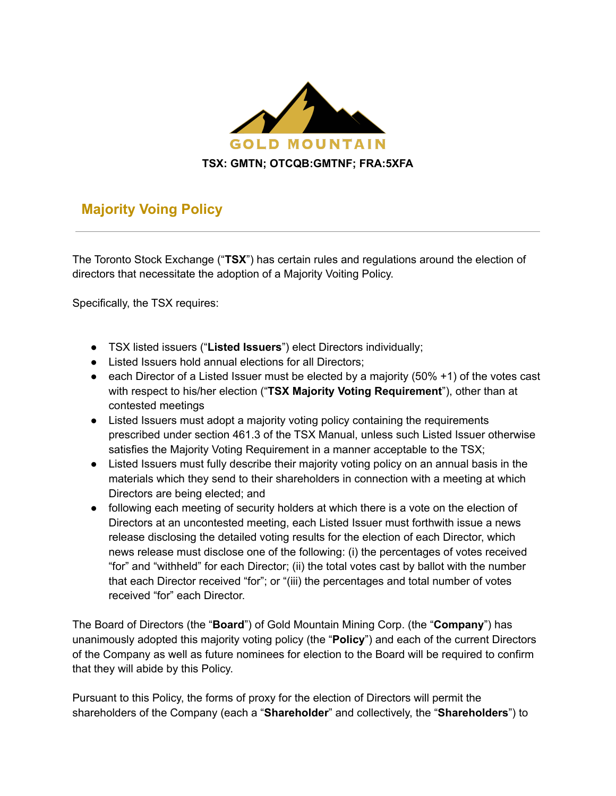

## **Majority Voing Policy**

The Toronto Stock Exchange ("**TSX**") has certain rules and regulations around the election of directors that necessitate the adoption of a Majority Voiting Policy.

Specifically, the TSX requires:

- TSX listed issuers ("**Listed Issuers**") elect Directors individually;
- Listed Issuers hold annual elections for all Directors;
- $\bullet$  each Director of a Listed Issuer must be elected by a majority (50% +1) of the votes cast with respect to his/her election ("**TSX Majority Voting Requirement**"), other than at contested meetings
- Listed Issuers must adopt a majority voting policy containing the requirements prescribed under section 461.3 of the TSX Manual, unless such Listed Issuer otherwise satisfies the Majority Voting Requirement in a manner acceptable to the TSX;
- Listed Issuers must fully describe their majority voting policy on an annual basis in the materials which they send to their shareholders in connection with a meeting at which Directors are being elected; and
- following each meeting of security holders at which there is a vote on the election of Directors at an uncontested meeting, each Listed Issuer must forthwith issue a news release disclosing the detailed voting results for the election of each Director, which news release must disclose one of the following: (i) the percentages of votes received "for" and "withheld" for each Director; (ii) the total votes cast by ballot with the number that each Director received "for"; or "(iii) the percentages and total number of votes received "for" each Director.

The Board of Directors (the "**Board**") of Gold Mountain Mining Corp. (the "**Company**") has unanimously adopted this majority voting policy (the "**Policy**") and each of the current Directors of the Company as well as future nominees for election to the Board will be required to confirm that they will abide by this Policy.

Pursuant to this Policy, the forms of proxy for the election of Directors will permit the shareholders of the Company (each a "**Shareholder**" and collectively, the "**Shareholders**") to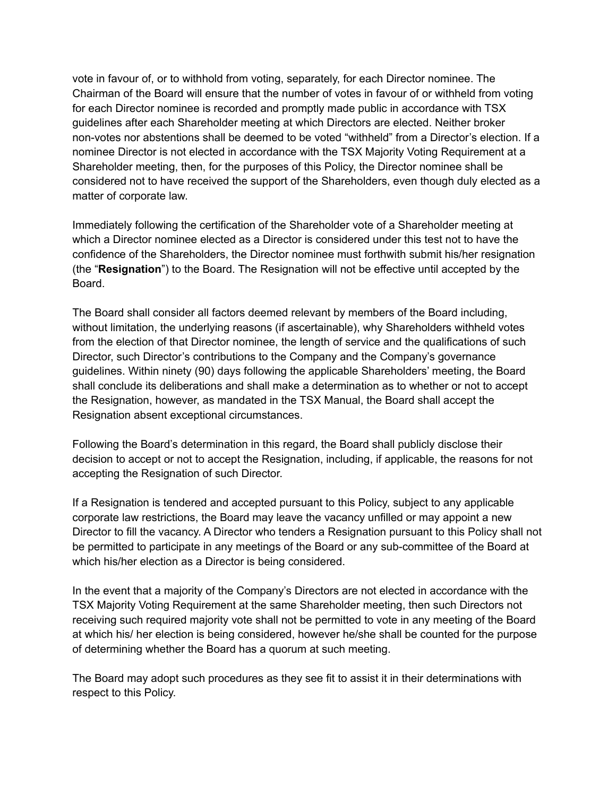vote in favour of, or to withhold from voting, separately, for each Director nominee. The Chairman of the Board will ensure that the number of votes in favour of or withheld from voting for each Director nominee is recorded and promptly made public in accordance with TSX guidelines after each Shareholder meeting at which Directors are elected. Neither broker non-votes nor abstentions shall be deemed to be voted "withheld" from a Director's election. If a nominee Director is not elected in accordance with the TSX Majority Voting Requirement at a Shareholder meeting, then, for the purposes of this Policy, the Director nominee shall be considered not to have received the support of the Shareholders, even though duly elected as a matter of corporate law.

Immediately following the certification of the Shareholder vote of a Shareholder meeting at which a Director nominee elected as a Director is considered under this test not to have the confidence of the Shareholders, the Director nominee must forthwith submit his/her resignation (the "**Resignation**") to the Board. The Resignation will not be effective until accepted by the Board.

The Board shall consider all factors deemed relevant by members of the Board including, without limitation, the underlying reasons (if ascertainable), why Shareholders withheld votes from the election of that Director nominee, the length of service and the qualifications of such Director, such Director's contributions to the Company and the Company's governance guidelines. Within ninety (90) days following the applicable Shareholders' meeting, the Board shall conclude its deliberations and shall make a determination as to whether or not to accept the Resignation, however, as mandated in the TSX Manual, the Board shall accept the Resignation absent exceptional circumstances.

Following the Board's determination in this regard, the Board shall publicly disclose their decision to accept or not to accept the Resignation, including, if applicable, the reasons for not accepting the Resignation of such Director.

If a Resignation is tendered and accepted pursuant to this Policy, subject to any applicable corporate law restrictions, the Board may leave the vacancy unfilled or may appoint a new Director to fill the vacancy. A Director who tenders a Resignation pursuant to this Policy shall not be permitted to participate in any meetings of the Board or any sub-committee of the Board at which his/her election as a Director is being considered.

In the event that a majority of the Company's Directors are not elected in accordance with the TSX Majority Voting Requirement at the same Shareholder meeting, then such Directors not receiving such required majority vote shall not be permitted to vote in any meeting of the Board at which his/ her election is being considered, however he/she shall be counted for the purpose of determining whether the Board has a quorum at such meeting.

The Board may adopt such procedures as they see fit to assist it in their determinations with respect to this Policy.